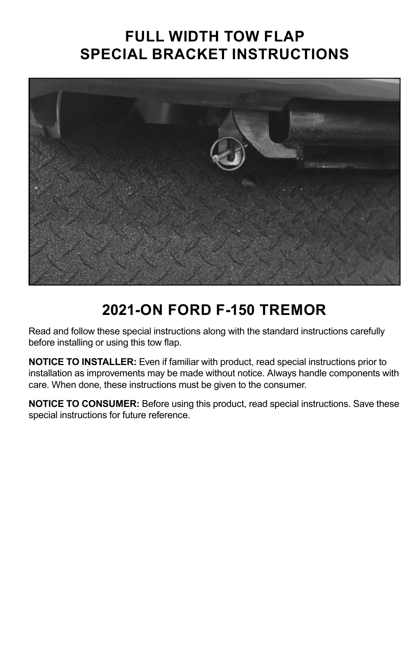### **FULL WIDTH TOW FLAP SPECIAL BRACKET INSTRUCTIONS**



## **2021-ON FORD F-150 TREMOR**

Read and follow these special instructions along with the standard instructions carefully before installing or using this tow flap.

**NOTICE TO INSTALLER:** Even if familiar with product, read special instructions prior to installation as improvements may be made without notice. Always handle components with care. When done, these instructions must be given to the consumer.

**NOTICE TO CONSUMER:** Before using this product, read special instructions. Save these special instructions for future reference.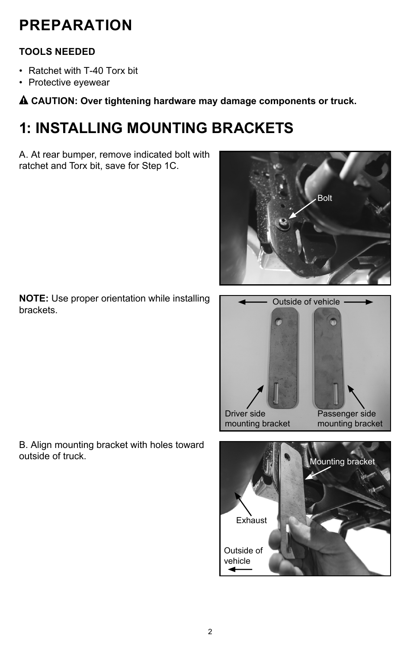## **PREPARATION**

#### **TOOLS NEEDED**

- Ratchet with T-40 Torx bit
- Protective eyewear

! **CAUTION: Over tightening hardware may damage components or truck.**

## **1: INSTALLING MOUNTING BRACKETS**

A. At rear bumper, remove indicated bolt with ratchet and Torx bit, save for Step 1C.

**NOTE:** Use proper orientation while installing brackets.

B. Align mounting bracket with holes toward outside of truck.



Driver side mounting bracket